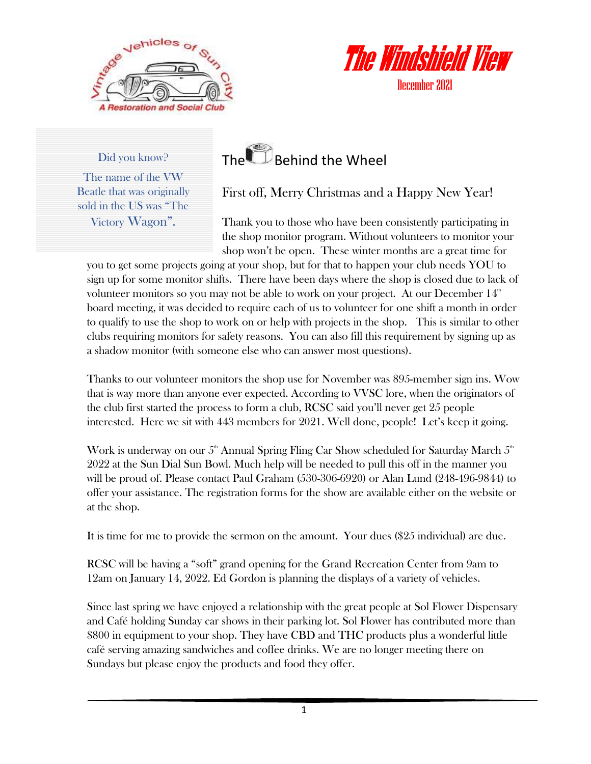



December 2021

#### Did you know?

The name of the VW Beatle that was originally sold in the US was "The Victory Wagon".

## The **Behind the Wheel**

First off, Merry Christmas and a Happy New Year!

Thank you to those who have been consistently participating in the shop monitor program. Without volunteers to monitor your shop won't be open. These winter months are a great time for

you to get some projects going at your shop, but for that to happen your club needs YOU to sign up for some monitor shifts. There have been days where the shop is closed due to lack of volunteer monitors so you may not be able to work on your project. At our December  $14<sup>th</sup>$ board meeting, it was decided to require each of us to volunteer for one shift a month in order to qualify to use the shop to work on or help with projects in the shop. This is similar to other clubs requiring monitors for safety reasons. You can also fill this requirement by signing up as a shadow monitor (with someone else who can answer most questions).

Thanks to our volunteer monitors the shop use for November was 895-member sign ins. Wow that is way more than anyone ever expected. According to VVSC lore, when the originators of the club first started the process to form a club, RCSC said you'll never get 25 people interested. Here we sit with 443 members for 2021. Well done, people! Let's keep it going.

Work is underway on our  $5<sup>th</sup>$  Annual Spring Fling Car Show scheduled for Saturday March  $5<sup>th</sup>$ 2022 at the Sun Dial Sun Bowl. Much help will be needed to pull this off in the manner you will be proud of. Please contact Paul Graham (530-306-6920) or Alan Lund (248-496-9844) to offer your assistance. The registration forms for the show are available either on the website or at the shop.

It is time for me to provide the sermon on the amount. Your dues (\$25 individual) are due.

RCSC will be having a "soft" grand opening for the Grand Recreation Center from 9am to 12am on January 14, 2022. Ed Gordon is planning the displays of a variety of vehicles.

Since last spring we have enjoyed a relationship with the great people at Sol Flower Dispensary and Café holding Sunday car shows in their parking lot. Sol Flower has contributed more than \$800 in equipment to your shop. They have CBD and THC products plus a wonderful little café serving amazing sandwiches and coffee drinks. We are no longer meeting there on Sundays but please enjoy the products and food they offer.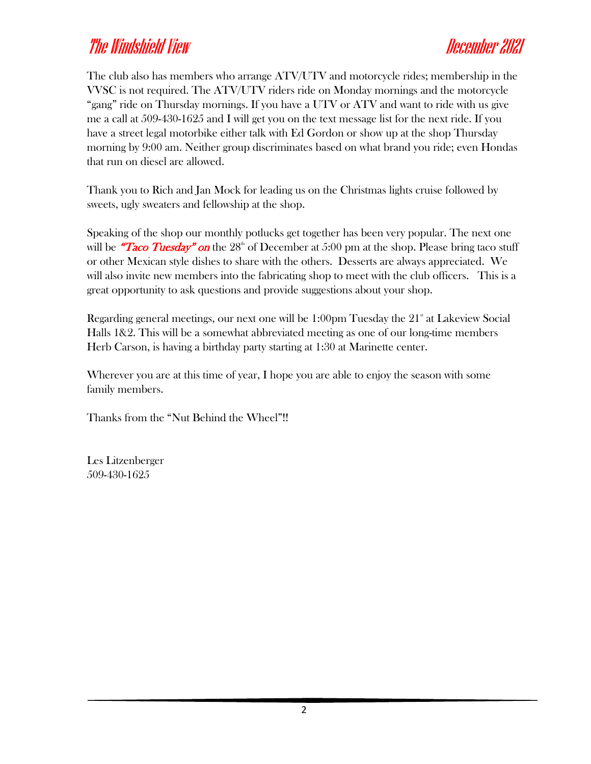The club also has members who arrange ATV/UTV and motorcycle rides; membership in the VVSC is not required. The ATV/UTV riders ride on Monday mornings and the motorcycle "gang" ride on Thursday mornings. If you have a UTV or ATV and want to ride with us give me a call at 509-430-1625 and I will get you on the text message list for the next ride. If you have a street legal motorbike either talk with Ed Gordon or show up at the shop Thursday morning by 9:00 am. Neither group discriminates based on what brand you ride; even Hondas that run on diesel are allowed.

Thank you to Rich and Jan Mock for leading us on the Christmas lights cruise followed by sweets, ugly sweaters and fellowship at the shop.

Speaking of the shop our monthly potlucks get together has been very popular. The next one will be "Taco Tuesday" on the  $28<sup>th</sup>$  of December at 5:00 pm at the shop. Please bring taco stuff or other Mexican style dishes to share with the others. Desserts are always appreciated. We will also invite new members into the fabricating shop to meet with the club officers. This is a great opportunity to ask questions and provide suggestions about your shop.

Regarding general meetings, our next one will be  $1:00 \text{pm}$  Tuesday the  $21^{\text{st}}$  at Lakeview Social Halls 1&2. This will be a somewhat abbreviated meeting as one of our long-time members Herb Carson, is having a birthday party starting at 1:30 at Marinette center.

Wherever you are at this time of year, I hope you are able to enjoy the season with some family members.

Thanks from the "Nut Behind the Wheel"!!

Les Litzenberger 509-430-1625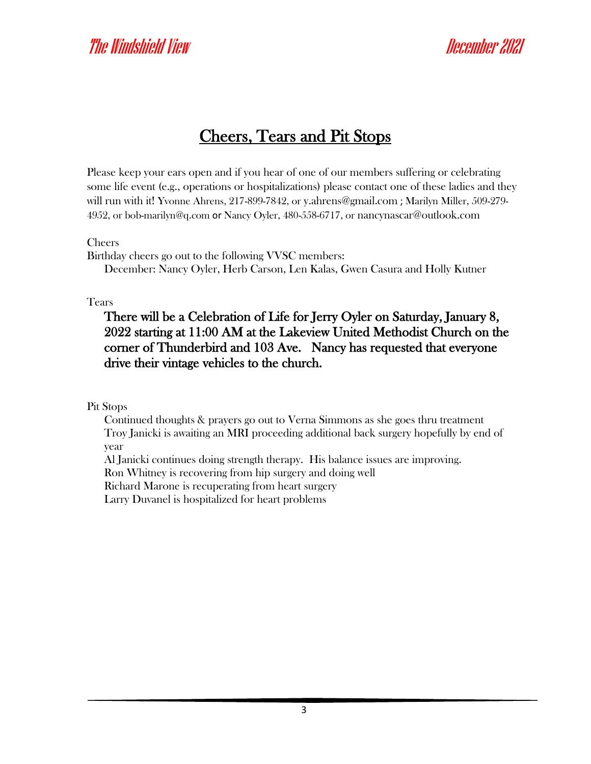#### Cheers, Tears and Pit Stops

Please keep your ears open and if you hear of one of our members suffering or celebrating some life event (e.g., operations or hospitalizations) please contact one of these ladies and they will run with it! Yvonne Ahrens, 217-899-7842, or [y.ahrens@gmail.com](mailto:y.ahrens@gmail.com) ; Marilyn Miller, 509-279- 4952, or [bob-marilyn@q.com](mailto:bob-marilyn@q.com) or Nancy Oyler, 480-558-6717, or [nancynascar@outlook.com](mailto:nancynascar@outlook.com)

Cheers

Birthday cheers go out to the following VVSC members:

December: Nancy Oyler, Herb Carson, Len Kalas, Gwen Casura and Holly Kutner

Tears

There will be a Celebration of Life for Jerry Oyler on Saturday, January 8, 2022 starting at 11:00 AM at the Lakeview United Methodist Church on the corner of Thunderbird and 103 Ave. Nancy has requested that everyone drive their vintage vehicles to the church.

Pit Stops

Continued thoughts & prayers go out to Verna Simmons as she goes thru treatment Troy Janicki is awaiting an MRI proceeding additional back surgery hopefully by end of year

Al Janicki continues doing strength therapy. His balance issues are improving.

Ron Whitney is recovering from hip surgery and doing well

Richard Marone is recuperating from heart surgery

Larry Duvanel is hospitalized for heart problems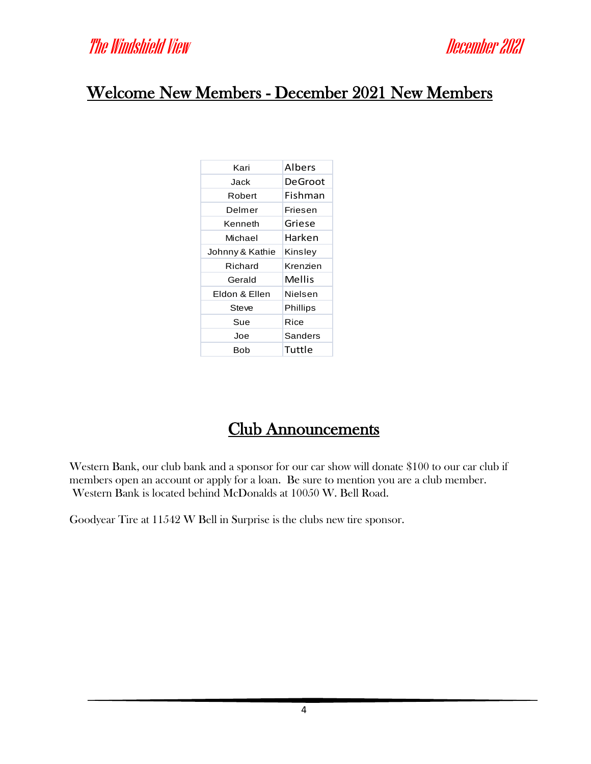#### Welcome New Members - December 2021 New Members

| Kari            | Albers   |
|-----------------|----------|
| Jack            | DeGroot  |
| Robert          | Fishman  |
| Delmer          | Friesen  |
| Kenneth         | Griese   |
| Michael         | Harken   |
| Johnny & Kathie | Kinsley  |
| Richard         | Krenzien |
| Gerald          | Mellis   |
| Fldon & Fllen   | Nielsen  |
| Steve           | Phillips |
| Sue             | Rice     |
| Joe             | Sanders  |
| Bob             | Tuttle   |

#### Club Announcements

Western Bank, our club bank and a sponsor for our car show will donate \$100 to our car club if members open an account or apply for a loan. Be sure to mention you are a club member. Western Bank is located behind McDonalds at 10050 W. Bell Road.

Goodyear Tire at 11542 W Bell in Surprise is the clubs new tire sponsor.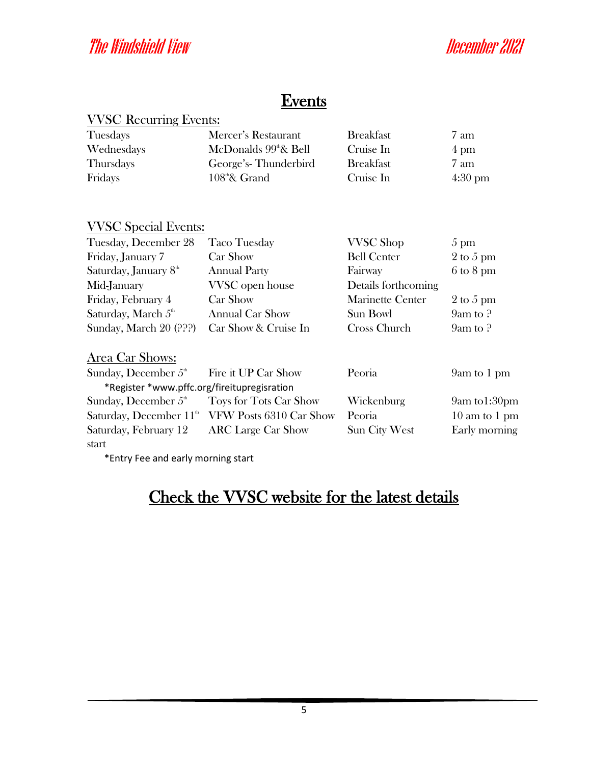#### **Events**

| <b>VVSC Recurring Events:</b> |
|-------------------------------|
|-------------------------------|

| Tuesdays         | Mercer's Restaurant               | <b>Breakfast</b> | 7 am              |
|------------------|-----------------------------------|------------------|-------------------|
| Wednesdays       | McDonalds 99 <sup>th</sup> & Bell | Cruise In        | $4 \text{ pm}$    |
| <b>Thursdays</b> | George's-Thunderbird              | <b>Breakfast</b> | 7 am              |
| Fridays          | $108^{\text{th}}$ & Grand         | Cruise In        | $4:30 \text{ pm}$ |

#### VVSC Special Events:

| Tuesday, December 28                        | <b>Taco Tuesday</b>       | <b>VVSC</b> Shop        | $5 \text{ pm}$                   |
|---------------------------------------------|---------------------------|-------------------------|----------------------------------|
| Friday, January 7                           | Car Show                  | <b>Bell Center</b>      | 2 to 5 pm                        |
| Saturday, January 8th                       | <b>Annual Party</b>       |                         | $6 \text{ to } 8 \text{ pm}$     |
| Mid-January                                 | VVSC open house           | Details forthcoming     |                                  |
| Friday, February 4                          | Car Show                  | <b>Marinette Center</b> | 2 to 5 pm                        |
| Saturday, March $5th$                       | <b>Annual Car Show</b>    | Sun Bowl                | $9am$ to $?$                     |
| Sunday, March 20 (???)                      | Car Show & Cruise In      | Cross Church            | $9am$ to $?$                     |
| Area Car Shows:                             |                           |                         |                                  |
| Sunday, December $5th$                      | Fire it UP Car Show       | Peoria                  | 9am to 1 pm                      |
| *Register *www.pffc.org/fireitupregisration |                           |                         |                                  |
| Sunday, December $5th$                      | Toys for Tots Car Show    | Wickenburg              | 9am to1:30pm                     |
| Saturday, December $11th$                   | VFW Posts 6310 Car Show   | Peoria                  | $10 \text{ am to } 1 \text{ pm}$ |
| Saturday, February 12                       | <b>ARC</b> Large Car Show | <b>Sun City West</b>    | Early morning                    |

start \*Entry Fee and early morning start

#### Check the VVSC website for the latest details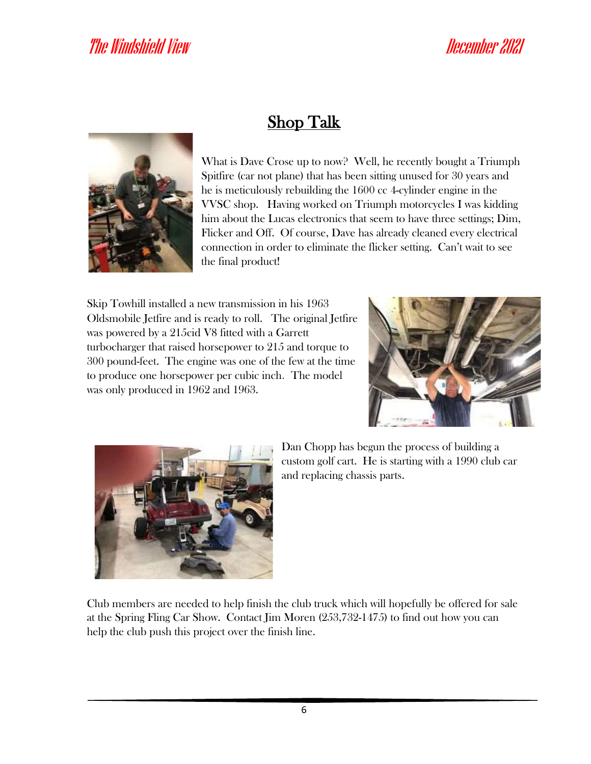

## Shop Talk

What is Dave Crose up to now? Well, he recently bought a Triumph Spitfire (car not plane) that has been sitting unused for 30 years and he is meticulously rebuilding the 1600 cc 4-cylinder engine in the VVSC shop. Having worked on Triumph motorcycles I was kidding him about the Lucas electronics that seem to have three settings; Dim, Flicker and Off. Of course, Dave has already cleaned every electrical connection in order to eliminate the flicker setting. Can't wait to see the final product!

Skip Towhill installed a new transmission in his 1963 Oldsmobile Jetfire and is ready to roll. The original Jetfire was powered by a 215cid V8 fitted with a Garrett turbocharger that raised horsepower to 215 and torque to 300 pound-feet. The engine was one of the few at the time to produce one horsepower per cubic inch. The model was only produced in 1962 and 1963.





Dan Chopp has begun the process of building a custom golf cart. He is starting with a 1990 club car and replacing chassis parts.

Club members are needed to help finish the club truck which will hopefully be offered for sale at the Spring Fling Car Show. Contact Jim Moren (253,732-1475) to find out how you can help the club push this project over the finish line.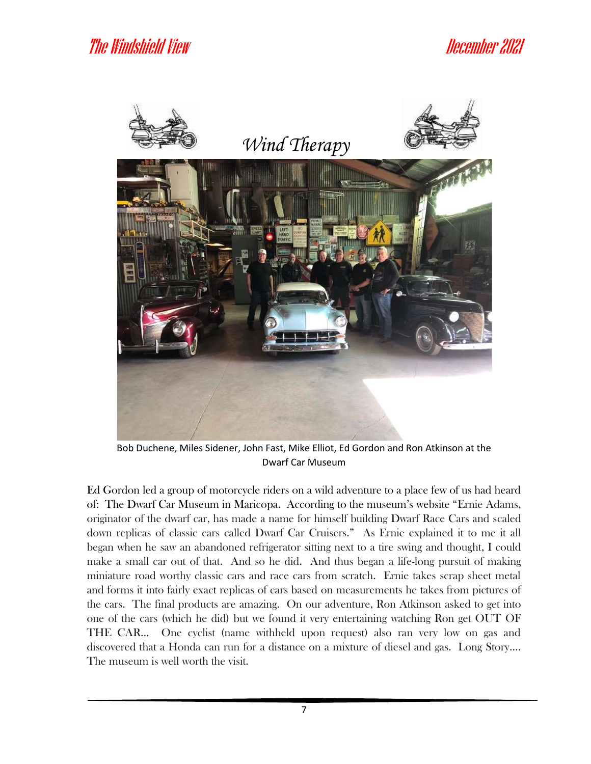

Bob Duchene, Miles Sidener, John Fast, Mike Elliot, Ed Gordon and Ron Atkinson at the Dwarf Car Museum

Ed Gordon led a group of motorcycle riders on a wild adventure to a place few of us had heard of: The Dwarf Car Museum in Maricopa. According to the museum's website "Ernie Adams, originator of the dwarf car, has made a name for himself building Dwarf Race Cars and scaled down replicas of classic cars called Dwarf Car Cruisers." As Ernie explained it to me it all began when he saw an abandoned refrigerator sitting next to a tire swing and thought, I could make a small car out of that. And so he did. And thus began a life-long pursuit of making miniature road worthy classic cars and race cars from scratch. Ernie takes scrap sheet metal and forms it into fairly exact replicas of cars based on measurements he takes from pictures of the cars. The final products are amazing. On our adventure, Ron Atkinson asked to get into one of the cars (which he did) but we found it very entertaining watching Ron get OUT OF THE CAR… One cyclist (name withheld upon request) also ran very low on gas and discovered that a Honda can run for a distance on a mixture of diesel and gas. Long Story…. The museum is well worth the visit.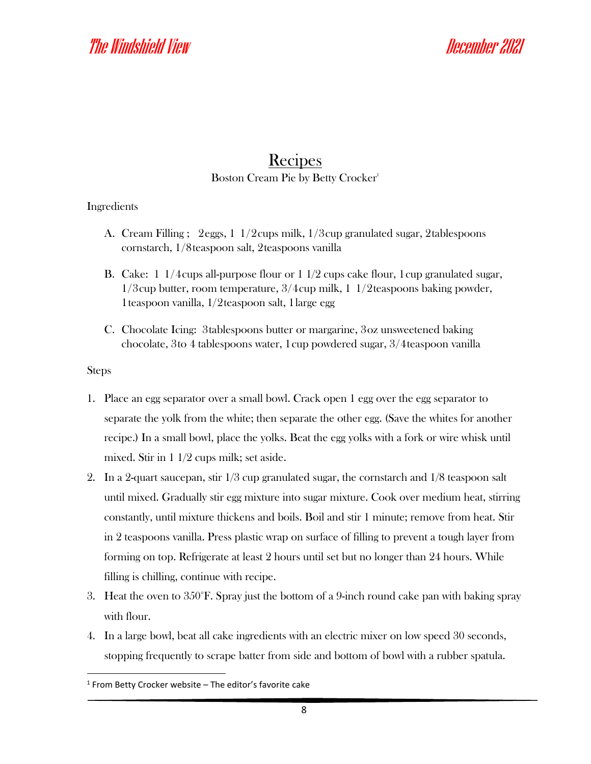#### Recipes Boston Cream Pie by Betty Crocker<sup>1</sup>

#### Ingredients

- A. Cream Filling ; 2eggs, 1 1/2cups milk, 1/3cup granulated sugar, 2tablespoons cornstarch, 1/8teaspoon salt, 2teaspoons vanilla
- B. Cake: 1 1/4cups all-purpose flour or 1 1/2 cups cake flour, 1cup granulated sugar, 1/3cup butter, room temperature, 3/4cup milk, 1 1/2teaspoons baking powder, 1teaspoon vanilla, 1/2teaspoon salt, 1large egg
- C. Chocolate Icing: 3tablespoons butter or margarine, 3oz unsweetened baking chocolate, 3to 4 tablespoons water, 1cup powdered sugar, 3/4teaspoon vanilla

#### Steps

- 1. Place an egg separator over a small bowl. Crack open 1 egg over the egg separator to separate the yolk from the white; then separate the other egg. (Save the whites for another recipe.) In a small bowl, place the yolks. Beat the egg yolks with a fork or wire whisk until mixed. Stir in 1 1/2 cups milk; set aside.
- 2. In a 2-quart saucepan, stir  $1/3$  cup granulated sugar, the cornstarch and  $1/8$  teaspoon salt until mixed. Gradually stir egg mixture into sugar mixture. Cook over medium heat, stirring constantly, until mixture thickens and boils. Boil and stir 1 minute; remove from heat. Stir in 2 teaspoons vanilla. Press plastic wrap on surface of filling to prevent a tough layer from forming on top. Refrigerate at least 2 hours until set but no longer than 24 hours. While filling is chilling, continue with recipe.
- 3. Heat the oven to 350°F. Spray just the bottom of a 9-inch round cake pan with baking spray with flour.
- 4. In a large bowl, beat all cake ingredients with an electric mixer on low speed 30 seconds, stopping frequently to scrape batter from side and bottom of bowl with a rubber spatula.

<sup>&</sup>lt;sup>1</sup> From Betty Crocker website – The editor's favorite cake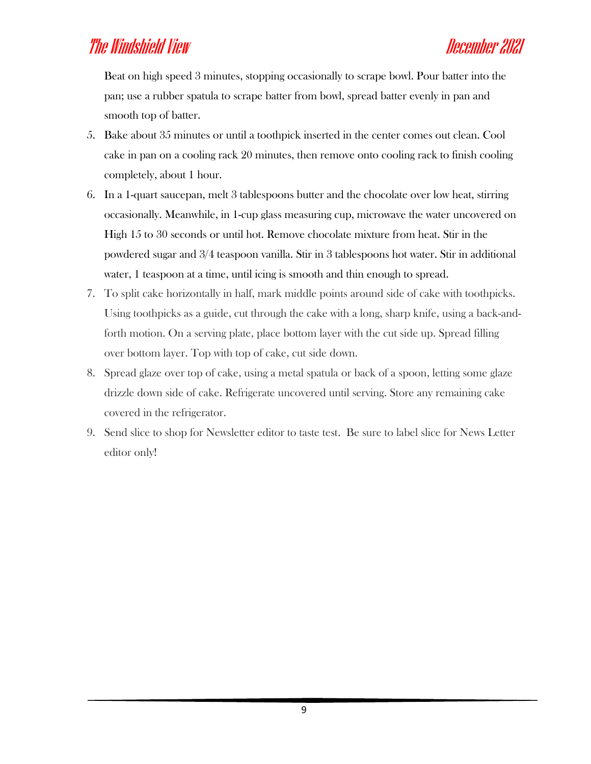Beat on high speed 3 minutes, stopping occasionally to scrape bowl. Pour batter into the pan; use a rubber spatula to scrape batter from bowl, spread batter evenly in pan and smooth top of batter.

- 5. Bake about 35 minutes or until a toothpick inserted in the center comes out clean. Cool cake in pan on a cooling rack 20 minutes, then remove onto cooling rack to finish cooling completely, about 1 hour.
- 6. In a 1-quart saucepan, melt 3 tablespoons butter and the chocolate over low heat, stirring occasionally. Meanwhile, in 1-cup glass measuring cup, microwave the water uncovered on High 15 to 30 seconds or until hot. Remove chocolate mixture from heat. Stir in the powdered sugar and 3/4 teaspoon vanilla. Stir in 3 tablespoons hot water. Stir in additional water, 1 teaspoon at a time, until icing is smooth and thin enough to spread.
- 7. To split cake horizontally in half, mark middle points around side of cake with toothpicks. Using toothpicks as a guide, cut through the cake with a long, sharp knife, using a back-andforth motion. On a serving plate, place bottom layer with the cut side up. Spread filling over bottom layer. Top with top of cake, cut side down.
- 8. Spread glaze over top of cake, using a metal spatula or back of a spoon, letting some glaze drizzle down side of cake. Refrigerate uncovered until serving. Store any remaining cake covered in the refrigerator.
- 9. Send slice to shop for Newsletter editor to taste test. Be sure to label slice for News Letter editor only!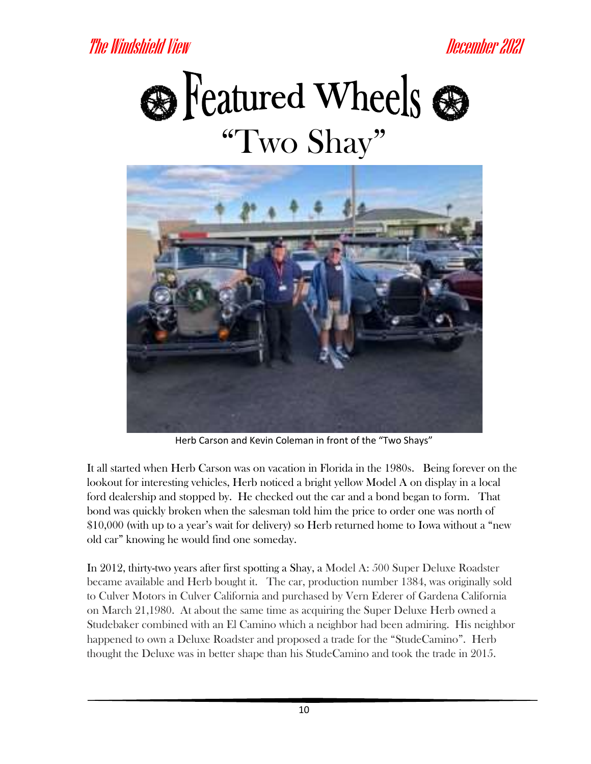



Herb Carson and Kevin Coleman in front of the "Two Shays"

It all started when Herb Carson was on vacation in Florida in the 1980s. Being forever on the lookout for interesting vehicles, Herb noticed a bright yellow Model A on display in a local ford dealership and stopped by. He checked out the car and a bond began to form. That bond was quickly broken when the salesman told him the price to order one was north of \$10,000 (with up to a year's wait for delivery) so Herb returned home to Iowa without a "new old car" knowing he would find one someday.

In 2012, thirty-two years after first spotting a Shay, a Model A: 500 Super Deluxe Roadster became available and Herb bought it. The car, production number 1384, was originally sold to Culver Motors in Culver California and purchased by Vern Ederer of Gardena California on March 21,1980. At about the same time as acquiring the Super Deluxe Herb owned a Studebaker combined with an El Camino which a neighbor had been admiring. His neighbor happened to own a Deluxe Roadster and proposed a trade for the "StudeCamino". Herb thought the Deluxe was in better shape than his StudeCamino and took the trade in 2015.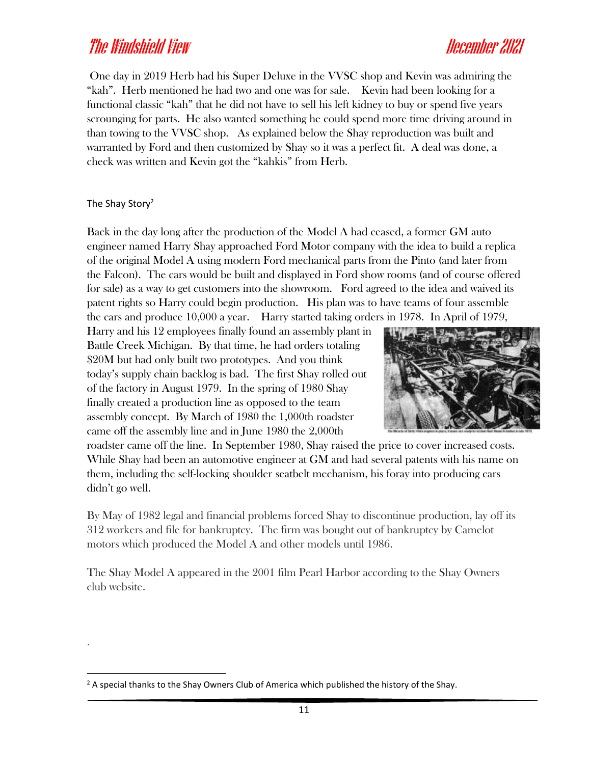One day in 2019 Herb had his Super Deluxe in the VVSC shop and Kevin was admiring the "kah". Herb mentioned he had two and one was for sale. Kevin had been looking for a functional classic "kah" that he did not have to sell his left kidney to buy or spend five years scrounging for parts. He also wanted something he could spend more time driving around in than towing to the VVSC shop. As explained below the Shay reproduction was built and warranted by Ford and then customized by Shay so it was a perfect fit. A deal was done, a check was written and Kevin got the "kahkis" from Herb.

The Shay Story<sup>2</sup>

.

Back in the day long after the production of the Model A had ceased, a former GM auto engineer named Harry Shay approached Ford Motor company with the idea to build a replica of the original Model A using modern Ford mechanical parts from the Pinto (and later from the Falcon). The cars would be built and displayed in Ford show rooms (and of course offered for sale) as a way to get customers into the showroom. Ford agreed to the idea and waived its patent rights so Harry could begin production. His plan was to have teams of four assemble the cars and produce 10,000 a year. Harry started taking orders in 1978. In April of 1979,

Harry and his 12 employees finally found an assembly plant in Battle Creek Michigan. By that time, he had orders totaling \$20M but had only built two prototypes. And you think today's supply chain backlog is bad. The first Shay rolled out of the factory in August 1979. In the spring of 1980 Shay finally created a production line as opposed to the team assembly concept. By March of 1980 the 1,000th roadster came off the assembly line and in June 1980 the 2,000th



roadster came off the line. In September 1980, Shay raised the price to cover increased costs. While Shay had been an automotive engineer at GM and had several patents with his name on them, including the self-locking shoulder seatbelt mechanism, his foray into producing cars didn't go well.

By May of 1982 legal and financial problems forced Shay to discontinue production, lay off its 312 workers and file for bankruptcy. The firm was bought out of bankruptcy by Camelot motors which produced the Model A and other models until 1986.

The Shay Model A appeared in the 2001 film Pearl Harbor according to the Shay Owners club website.

 $2A$  special thanks to the Shay Owners Club of America which published the history of the Shay.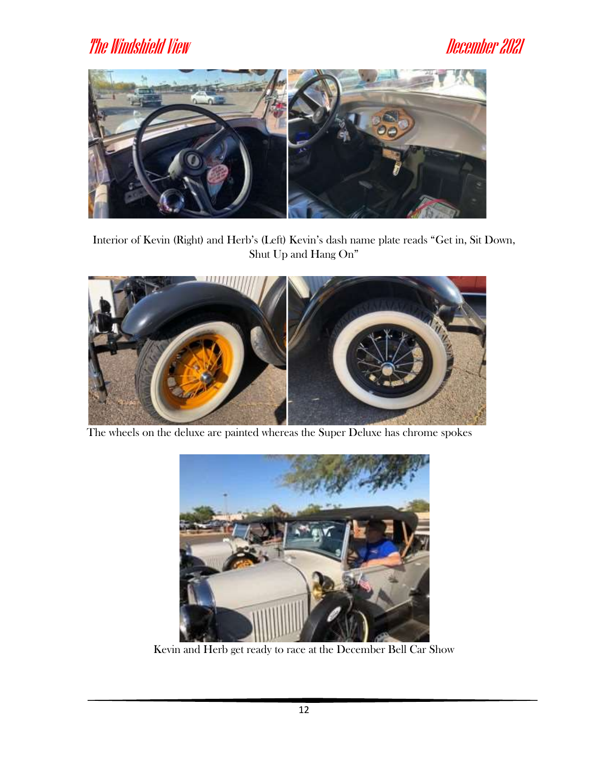

Interior of Kevin (Right) and Herb's (Left) Kevin's dash name plate reads "Get in, Sit Down, Shut Up and Hang On"



The wheels on the deluxe are painted whereas the Super Deluxe has chrome spokes



Kevin and Herb get ready to race at the December Bell Car Show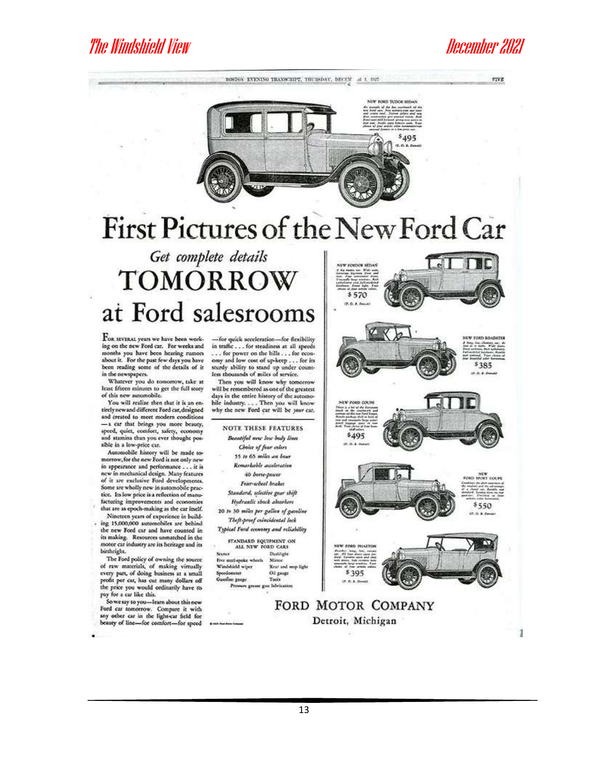**FIVE** 



# First Pictures of the New Ford Car

# Get complete details **TOMORROW** at Ford salesrooms

FOR SEVERAL years we have been working on the new Ford car. For weeks and months you have been hearing rumors<br>shout it. For the past few days you have<br>been reading some of the details of it in the newspapers.

Whatever you do tomorrow, take at least fifteen minutes to get the full story of this new automobile.

You will realize then that it is an entirely new and different Ford car, designed and created to meet modern conditions -- a car that brings you more beauty,<br>speed, quiet, comfort, safety, economy<br>and stamina than you ever thought possible in a low-price car.

Automobile history will be made tomorrow, for the new Ford is not only new in appearance and performance . . . it is<br>new in mechanical design. Many features of it are exclusive Ford developments. Some are wholly new in automobile practice. Its low price is a reflection of manufacturing improvements and economies that are as epoch-making as the car itself.

Nineteen years of experience in building 15,000,000 automobiles are behind the new Ford car and have counted in its making. Resources unmatched in the motor car industry are its heritage and its birthright.

The Ford policy of owning the source of raw materials, of making virtually<br>every part, of doing business at a small<br>profit per car, has cut many dollars off the price you would oedinarily have to pay for a car like this.

So we say to you-learn about this new<br>Ford car tomorrow. Compare it with any other car in the light-car field for beauty of line-for comfort-for speed

-for quick acceleration-for flexibility in traffic . . . for steadiness at all speeds ... for power on the hills ... for economy and low cost of up-keep ... for its<br>sturdy ability to stand up under count-<br>less thousands of miles of service.

Then you will know why tomorrow will be remembered as one of the greatest days in the entire history of the automo-<br>bile industry.... Then you will know why the new Ford car will be your car.

**NOTE THESE FEATURES** Beautiful new lose body lines Choice of fear celors 55 to 65 miles an bour Remarkable acceleration 40 borse-poseer Four-wheel brakes Standard, sclective gear shift Hydraulic shock absorbers 20 to 30 miles per gallon of gasoline Theft-proof ceimidental lock Typical Ford economy and reliability STANDARD EQUIPMENT ON ALL NEW FORD CARS

**Scurier** Dublight Mirror Five ste Windshield wiper Rear and mop ligh Ol gauge aer. **Tools** labric

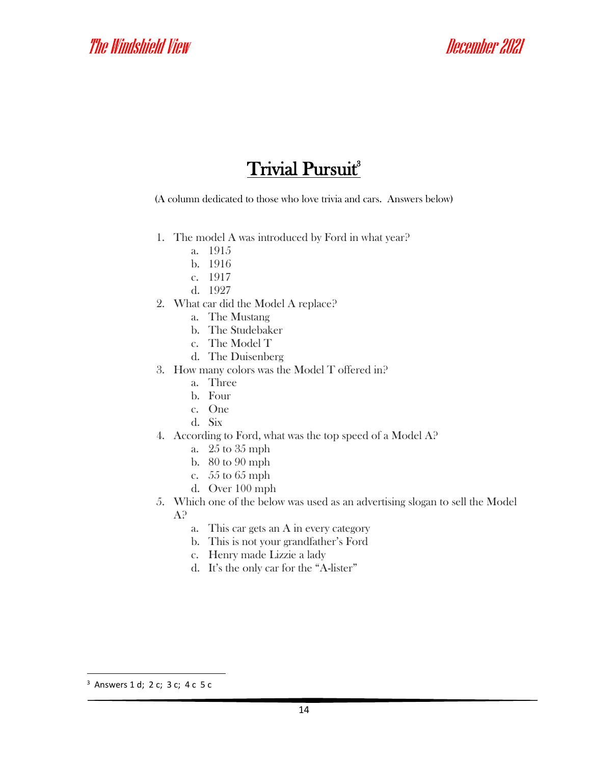#### **Trivial Pursuit**<sup>3</sup>

(A column dedicated to those who love trivia and cars. Answers below)

- 1. The model A was introduced by Ford in what year?
	- a. 1915
	- b. 1916
	- c. 1917
	- d. 1927
- 2. What car did the Model A replace?
	- a. The Mustang
	- b. The Studebaker
	- c. The Model T
	- d. The Duisenberg
- 3. How many colors was the Model T offered in?
	- a. Three
	- b. Four
	- c. One
	- d. Six
- 4. According to Ford, what was the top speed of a Model A?
	- a. 25 to 35 mph
	- b. 80 to 90 mph
	- c. 55 to 65 mph
	- d. Over 100 mph
- 5. Which one of the below was used as an advertising slogan to sell the Model A?
	- a. This car gets an A in every category
	- b. This is not your grandfather's Ford
	- c. Henry made Lizzie a lady
	- d. It's the only car for the "A-lister"

<sup>3</sup> Answers 1 d; 2 c; 3 c; 4 c 5 c